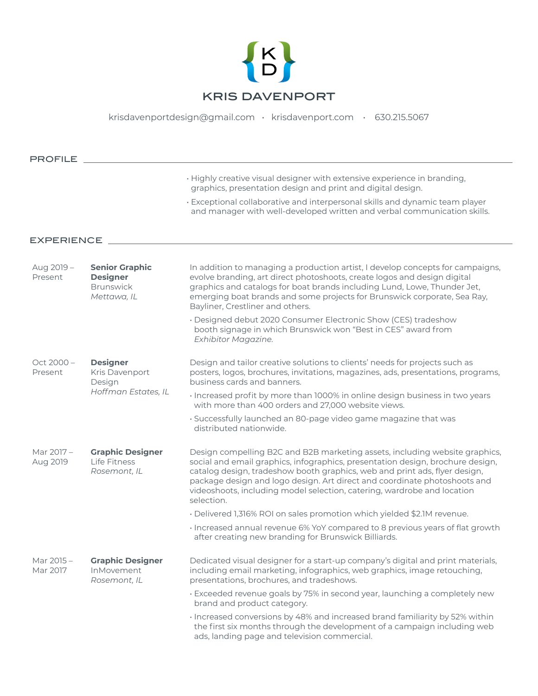

[krisdavenportdesign@gmail.com](mailto:krisdavenportdesign%40gmail.com?subject=) • [krisdavenport.com](https://www.krisdavenport.com) • 630.215.5067

Aug 2019 – Present **Senior Graphic Designer Brunswick** *Mettawa, IL* In addition to managing a production artist, I develop concepts for campaigns, evolve branding, art direct photoshoots, create logos and design digital graphics and catalogs for boat brands including Lund, Lowe, Thunder Jet, emerging boat brands and some projects for Brunswick corporate, Sea Ray, Bayliner, Crestliner and others. • Designed debut 2020 Consumer Electronic Show (CES) tradeshow booth signage in which Brunswick won "Best in CES" award from *Exhibitor Magazine.* Oct 2000 – Present **Designer** Kris Davenport Design *Hoffman Estates, IL* Design and tailor creative solutions to clients' needs for projects such as posters, logos, brochures, invitations, magazines, ads, presentations, programs, business cards and banners. • Increased profit by more than 1000% in online design business in two years with more than 400 orders and 27,000 website views. • Successfully launched an 80-page video game magazine that was distributed nationwide. Mar 2017 – Aug 2019 **Graphic Designer** Life Fitness *Rosemont, IL* Design compelling B2C and B2B marketing assets, including website graphics, social and email graphics, infographics, presentation design, brochure design, catalog design, tradeshow booth graphics, web and print ads, flyer design, package design and logo design. Art direct and coordinate photoshoots and videoshoots, including model selection, catering, wardrobe and location selection. • Delivered 1,316% ROI on sales promotion which yielded \$2.1M revenue. • Increased annual revenue 6% YoY compared to 8 previous years of flat growth after creating new branding for Brunswick Billiards. Mar 2015 – Mar 2017 **Graphic Designer** InMovement *Rosemont, IL* Dedicated visual designer for a start-up company's digital and print materials, including email marketing, infographics, web graphics, image retouching, presentations, brochures, and tradeshows. • Exceeded revenue goals by 75% in second year, launching a completely new brand and product category. • Increased conversions by 48% and increased brand familiarity by 52% within the first six months through the development of a campaign including web ads, landing page and television commercial. • Highly creative visual designer with extensive experience in branding, graphics, presentation design and print and digital design. • Exceptional collaborative and interpersonal skills and dynamic team player and manager with well-developed written and verbal communication skills. PROFILE EXPERIENCE